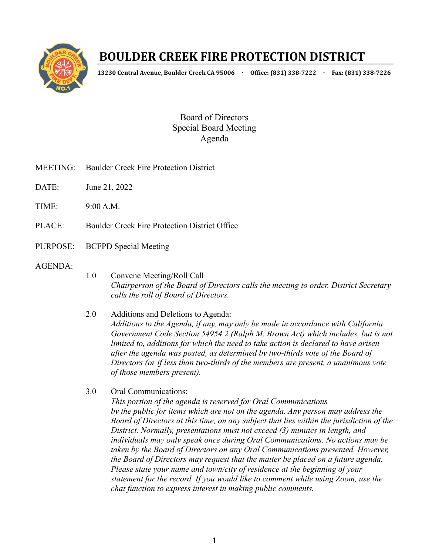

## **BOULDER CREEK FIRE PROTECTION DISTRICT**

**13230 Central Avenue, Boulder Creek CA 95006 · Office: (831) 338-7222 · Fax: (831) 338-7226**

Board of Directors Special Board Meeting Agenda

- MEETING: Boulder Creek Fire Protection District
- DATE: June 21, 2022
- $TIME: 9.00 A M$
- PLACE: Boulder Creek Fire Protection District Office
- PURPOSE: BCFPD Special Meeting
- AGENDA:
- 1.0 Convene Meeting/Roll Call *Chairperson of the Board of Directors calls the meeting to order. District Secretary calls the roll of Board of Directors.*
- 2.0 Additions and Deletions to Agenda: *Additions to the Agenda, if any, may only be made in accordance with California Government Code Section 54954.2 (Ralph M. Brown Act) which includes, but is not limited to, additions for which the need to take action is declared to have arisen after the agenda was posted, as determined by two-thirds vote of the Board of Directors (or if less than two-thirds of the members are present, a unanimous vote of those members present).*
- 3.0 Oral Communications: *This portion of the agenda is reserved for Oral Communications by the public for items which are not on the agenda. Any person may address the Board of Directors at this time, on any subject that lies within the jurisdiction of the District. Normally, presentations must not exceed (3) minutes in length, and individuals may only speak once during Oral Communications. No actions may be taken by the Board of Directors on any Oral Communications presented. However, the Board of Directors may request that the matter be placed on a future agenda. Please state your name and town/city of residence at the beginning of your statement for the record. If you would like to comment while using Zoom, use the chat function to express interest in making public comments.*